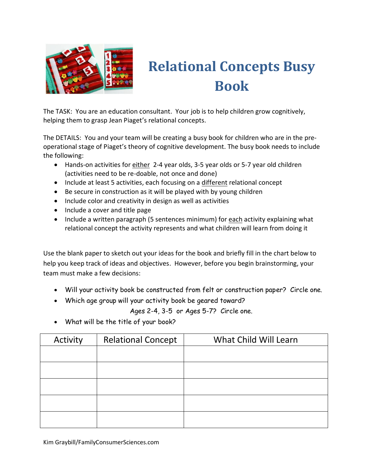

## **Relational Concepts Busy Book**

The TASK: You are an education consultant. Your job is to help children grow cognitively, helping them to grasp Jean Piaget's relational concepts.

The DETAILS: You and your team will be creating a busy book for children who are in the preoperational stage of Piaget's theory of cognitive development. The busy book needs to include the following:

- Hands-on activities for either 2-4 year olds, 3-5 year olds or 5-7 year old children (activities need to be re-doable, not once and done)
- Include at least 5 activities, each focusing on a different relational concept
- Be secure in construction as it will be played with by young children
- Include color and creativity in design as well as activities
- Include a cover and title page
- Include a written paragraph (5 sentences minimum) for each activity explaining what relational concept the activity represents and what children will learn from doing it

Use the blank paper to sketch out your ideas for the book and briefly fill in the chart below to help you keep track of ideas and objectives. However, before you begin brainstorming, your team must make a few decisions:

- Will your activity book be constructed from felt or construction paper? Circle one.
- Which age group will your activity book be geared toward?

Ages 2-4, 3-5 or Ages 5-7? Circle one.

What will be the title of your book?

| Activity | <b>Relational Concept</b> | What Child Will Learn |  |  |
|----------|---------------------------|-----------------------|--|--|
|          |                           |                       |  |  |
|          |                           |                       |  |  |
|          |                           |                       |  |  |
|          |                           |                       |  |  |
|          |                           |                       |  |  |